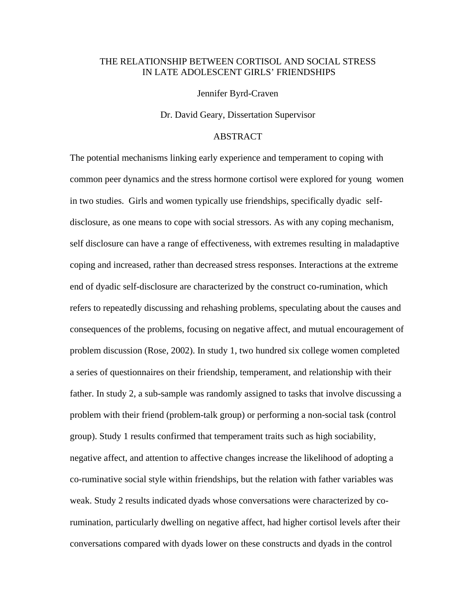## THE RELATIONSHIP BETWEEN CORTISOL AND SOCIAL STRESS IN LATE ADOLESCENT GIRLS' FRIENDSHIPS

Jennifer Byrd-Craven

Dr. David Geary, Dissertation Supervisor

## ABSTRACT

The potential mechanisms linking early experience and temperament to coping with common peer dynamics and the stress hormone cortisol were explored for young women in two studies. Girls and women typically use friendships, specifically dyadic selfdisclosure, as one means to cope with social stressors. As with any coping mechanism, self disclosure can have a range of effectiveness, with extremes resulting in maladaptive coping and increased, rather than decreased stress responses. Interactions at the extreme end of dyadic self-disclosure are characterized by the construct co-rumination, which refers to repeatedly discussing and rehashing problems, speculating about the causes and consequences of the problems, focusing on negative affect, and mutual encouragement of problem discussion (Rose, 2002). In study 1, two hundred six college women completed a series of questionnaires on their friendship, temperament, and relationship with their father. In study 2, a sub-sample was randomly assigned to tasks that involve discussing a problem with their friend (problem-talk group) or performing a non-social task (control group). Study 1 results confirmed that temperament traits such as high sociability, negative affect, and attention to affective changes increase the likelihood of adopting a co-ruminative social style within friendships, but the relation with father variables was weak. Study 2 results indicated dyads whose conversations were characterized by corumination, particularly dwelling on negative affect, had higher cortisol levels after their conversations compared with dyads lower on these constructs and dyads in the control